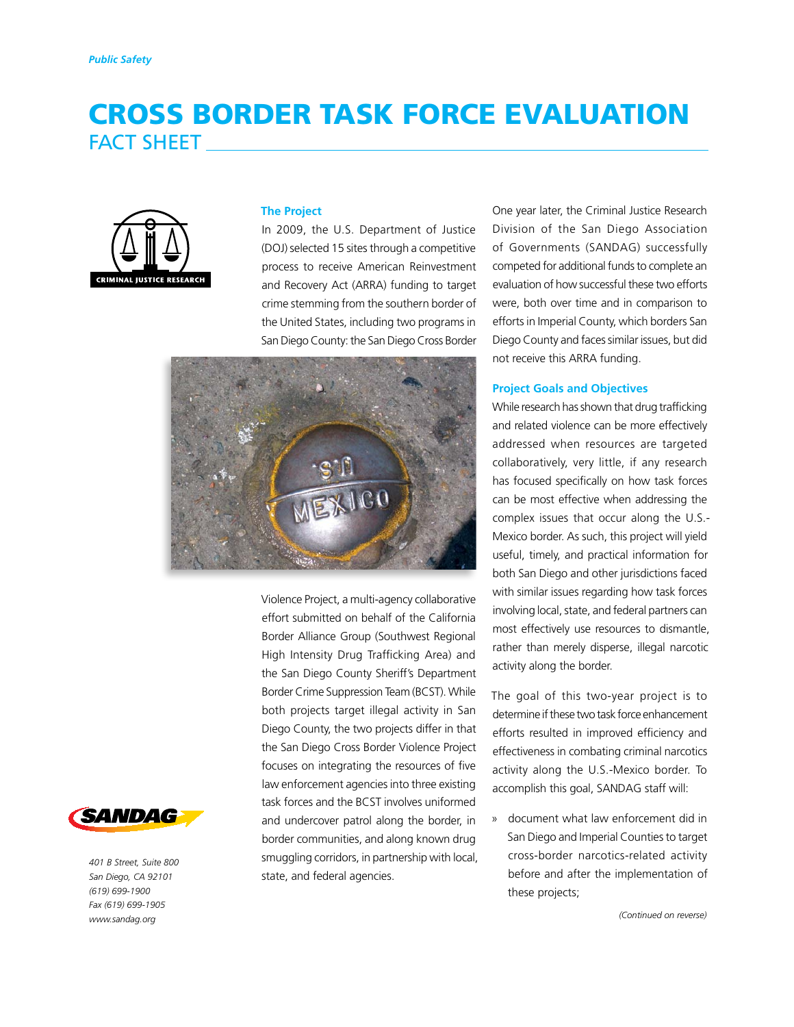# CROSS BORDER TASK FORCE EVALUATION FACT SHEET



#### **The Project**

In 2009, the U.S. Department of Justice (DOJ) selected 15 sites through a competitive process to receive American Reinvestment and Recovery Act (ARRA) funding to target crime stemming from the southern border of the United States, including two programs in San Diego County: the San Diego Cross Border



Violence Project, a multi-agency collaborative effort submitted on behalf of the California Border Alliance Group (Southwest Regional High Intensity Drug Trafficking Area) and the San Diego County Sheriff's Department Border Crime Suppression Team (BCST). While both projects target illegal activity in San Diego County, the two projects differ in that the San Diego Cross Border Violence Project focuses on integrating the resources of five law enforcement agencies into three existing task forces and the BCST involves uniformed and undercover patrol along the border, in border communities, and along known drug smuggling corridors, in partnership with local, state, and federal agencies.

One year later, the Criminal Justice Research Division of the San Diego Association of Governments (SANDAG) successfully competed for additional funds to complete an evaluation of how successful these two efforts were, both over time and in comparison to efforts in Imperial County, which borders San Diego County and faces similar issues, but did not receive this ARRA funding.

#### **Project Goals and Objectives**

While research has shown that drug trafficking and related violence can be more effectively addressed when resources are targeted collaboratively, very little, if any research has focused specifically on how task forces can be most effective when addressing the complex issues that occur along the U.S.- Mexico border. As such, this project will yield useful, timely, and practical information for both San Diego and other jurisdictions faced with similar issues regarding how task forces involving local, state, and federal partners can most effectively use resources to dismantle, rather than merely disperse, illegal narcotic activity along the border.

The goal of this two-year project is to determine if these two task force enhancement efforts resulted in improved efficiency and effectiveness in combating criminal narcotics activity along the U.S.-Mexico border. To accomplish this goal, SANDAG staff will:

» document what law enforcement did in San Diego and Imperial Counties to target cross-border narcotics-related activity before and after the implementation of these projects;





*401 B Street, Suite 800 San Diego, CA 92101 (619) 699-1900 Fax (619) 699-1905 www.sandag.org*